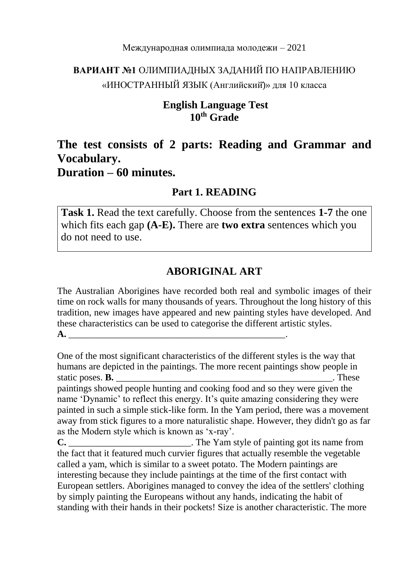#### Международная олимпиада молодежи – 2021

# **ВАРИАНТ №1** ОЛИМПИАДНЫХ ЗАДАНИЙ ПО НАПРАВЛЕНИЮ «ИНОСТРАННЫЙ ЯЗЫК (Английский̆)» для 10 класса

### **English Language Test 10th Grade**

# **The test consists of 2 parts: Reading and Grammar and Vocabulary.**

# **Duration – 60 minutes.**

### **Part 1. READING**

**Task 1.** Read the text carefully. Choose from the sentences **1-7** the one which fits each gap **(A-E).** There are **two extra** sentences which you do not need to use.

### **ABORIGINAL ART**

The Australian Aborigines have recorded both real and symbolic images of their time on rock walls for many thousands of years. Throughout the long history of this tradition, new images have appeared and new painting styles have developed. And these characteristics can be used to categorise the different artistic styles. **A.** \_\_\_\_\_\_\_\_\_\_\_\_\_\_\_\_\_\_\_\_\_\_\_\_\_\_\_\_\_\_\_\_\_\_\_\_\_\_\_\_\_\_\_\_\_\_.

One of the most significant characteristics of the different styles is the way that humans are depicted in the paintings. The more recent paintings show people in static poses. **B.** \_\_\_\_\_\_\_\_\_\_\_\_\_\_\_\_\_\_\_\_\_\_\_\_\_\_\_\_\_\_\_\_\_\_\_\_\_\_\_\_\_\_\_\_\_\_. These paintings showed people hunting and cooking food and so they were given the name 'Dynamic' to reflect this energy. It's quite amazing considering they were painted in such a simple stick-like form. In the Yam period, there was a movement away from stick figures to a more naturalistic shape. However, they didn't go as far as the Modern style which is known as 'x-ray'. **C.** The Yam style of painting got its name from the fact that it featured much curvier figures that actually resemble the vegetable called a yam, which is similar to a sweet potato. The Modern paintings are interesting because they include paintings at the time of the first contact with European settlers. Aborigines managed to convey the idea of the settlers' clothing by simply painting the Europeans without any hands, indicating the habit of

standing with their hands in their pockets! Size is another characteristic. The more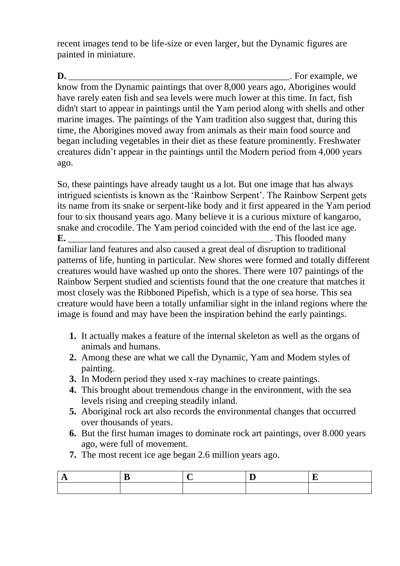recent images tend to be life-size or even larger, but the Dynamic figures are painted in miniature.

**D.** \_\_\_\_\_\_\_\_\_\_\_\_\_\_\_\_\_\_\_\_\_\_\_\_\_\_\_\_\_\_\_\_\_\_\_\_\_\_\_\_\_\_\_\_\_\_\_. For example, we know from the Dynamic paintings that over 8,000 years ago, Aborigines would have rarely eaten fish and sea levels were much lower at this time. In fact, fish didn't start to appear in paintings until the Yam period along with shells and other marine images. The paintings of the Yam tradition also suggest that, during this time, the Aborigines moved away from animals as their main food source and began including vegetables in their diet as these feature prominently. Freshwater creatures didn't appear in the paintings until the Modern period from 4,000 years ago.

So, these paintings have already taught us a lot. But one image that has always intrigued scientists is known as the 'Rainbow Serpent'. The Rainbow Serpent gets its name from its snake or serpent-like body and it first appeared in the Yam period four to six thousand years ago. Many believe it is a curious mixture of kangaroo, snake and crocodile. The Yam period coincided with the end of the last ice age. **E.** This flooded many

familiar land features and also caused a great deal of disruption to traditional patterns of life, hunting in particular. New shores were formed and totally different creatures would have washed up onto the shores. There were 107 paintings of the Rainbow Serpent studied and scientists found that the one creature that matches it most closely was the Ribboned Pipefish, which is a type of sea horse. This sea creature would have been a totally unfamiliar sight in the inland regions where the image is found and may have been the inspiration behind the early paintings.

- **1.** It actually makes a feature of the internal skeleton as well as the organs of animals and humans.
- **2.** Among these are what we call the Dynamic, Yam and Modem styles of painting.
- **3.** In Modern period they used x-ray machines to create paintings.
- **4.** This brought about tremendous change in the environment, with the sea levels rising and creeping steadily inland.
- **5.** Aboriginal rock art also records the environmental changes that occurred over thousands of years.
- **6.** But the first human images to dominate rock art paintings, over 8.000 years ago, were full of movement.
- **7.** The most recent ice age began 2.6 million years ago.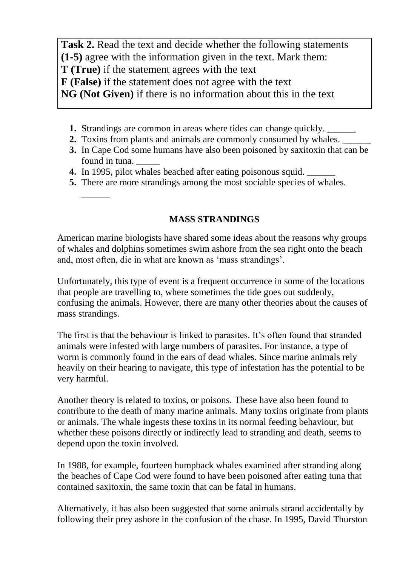**Task 2.** Read the text and decide whether the following statements **(1-5)** agree with the information given in the text. Mark them: **T (True)** if the statement agrees with the text **F (False)** if the statement does not agree with the text **NG (Not Given)** if there is no information about this in the text

- **1.** Strandings are common in areas where tides can change quickly.
- **2.** Toxins from plants and animals are commonly consumed by whales.
- **3.** In Cape Cod some humans have also been poisoned by saxitoxin that can be found in tuna.
- **4.** In 1995, pilot whales beached after eating poisonous squid. \_\_\_\_\_\_

 $\overline{\phantom{a}}$ 

**5.** There are more strandings among the most sociable species of whales.

### **MASS STRANDINGS**

American marine biologists have shared some ideas about the reasons why groups of whales and dolphins sometimes swim ashore from the sea right onto the beach and, most often, die in what are known as 'mass strandings'.

Unfortunately, this type of event is a frequent occurrence in some of the locations that people are travelling to, where sometimes the tide goes out suddenly, confusing the animals. However, there are many other theories about the causes of mass strandings.

The first is that the behaviour is linked to parasites. It's often found that stranded animals were infested with large numbers of parasites. For instance, a type of worm is commonly found in the ears of dead whales. Since marine animals rely heavily on their hearing to navigate, this type of infestation has the potential to be very harmful.

Another theory is related to toxins, or poisons. These have also been found to contribute to the death of many marine animals. Many toxins originate from plants or animals. The whale ingests these toxins in its normal feeding behaviour, but whether these poisons directly or indirectly lead to stranding and death, seems to depend upon the toxin involved.

In 1988, for example, fourteen humpback whales examined after stranding along the beaches of Cape Cod were found to have been poisoned after eating tuna that contained saxitoxin, the same toxin that can be fatal in humans.

Alternatively, it has also been suggested that some animals strand accidentally by following their prey ashore in the confusion of the chase. In 1995, David Thurston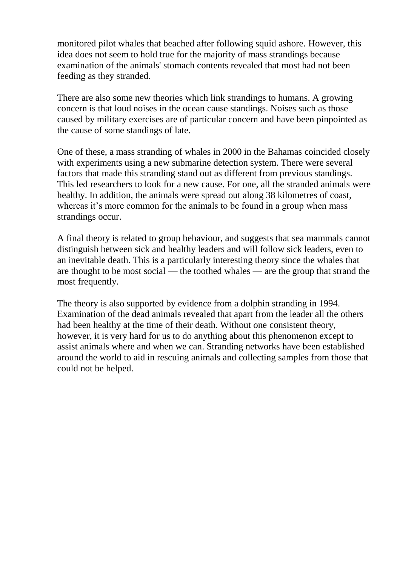monitored pilot whales that beached after following squid ashore. However, this idea does not seem to hold true for the majority of mass strandings because examination of the animals' stomach contents revealed that most had not been feeding as they stranded.

There are also some new theories which link strandings to humans. A growing concern is that loud noises in the ocean cause standings. Noises such as those caused by military exercises are of particular concern and have been pinpointed as the cause of some standings of late.

One of these, a mass stranding of whales in 2000 in the Bahamas coincided closely with experiments using a new submarine detection system. There were several factors that made this stranding stand out as different from previous standings. This led researchers to look for a new cause. For one, all the stranded animals were healthy. In addition, the animals were spread out along 38 kilometres of coast, whereas it's more common for the animals to be found in a group when mass strandings occur.

A final theory is related to group behaviour, and suggests that sea mammals cannot distinguish between sick and healthy leaders and will follow sick leaders, even to an inevitable death. This is a particularly interesting theory since the whales that are thought to be most social — the toothed whales — are the group that strand the most frequently.

The theory is also supported by evidence from a dolphin stranding in 1994. Examination of the dead animals revealed that apart from the leader all the others had been healthy at the time of their death. Without one consistent theory, however, it is very hard for us to do anything about this phenomenon except to assist animals where and when we can. Stranding networks have been established around the world to aid in rescuing animals and collecting samples from those that could not be helped.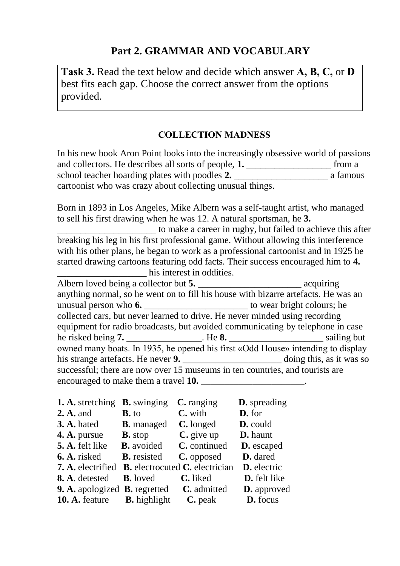# **Part 2. GRAMMAR AND VOCABULARY**

**Task 3.** Read the text below and decide which answer **A, B, C,** or **D**  best fits each gap. Choose the correct answer from the options provided.

#### **COLLECTION MADNESS**

In his new book Aron Point looks into the increasingly obsessive world of passions and collectors. He describes all sorts of people, **1.** \_\_\_\_\_\_\_\_\_\_\_\_\_\_\_\_\_\_ from a school teacher hoarding plates with poodles **2.** \_\_\_\_\_\_\_\_\_\_\_\_\_\_\_\_\_\_\_\_ a famous cartoonist who was crazy about collecting unusual things.

Born in 1893 in Los Angeles, Mike Albern was a self-taught artist, who managed to sell his first drawing when he was 12. A natural sportsman, he **3.**

\_\_\_\_\_\_\_\_\_\_\_\_\_\_\_\_\_\_\_\_\_ to make a career in rugby, but failed to achieve this after breaking his leg in his first professional game. Without allowing this interference with his other plans, he began to work as a professional cartoonist and in 1925 he started drawing cartoons featuring odd facts. Their success encouraged him to **4.** his interest in oddities.

Albern loved being a collector but **5.** acquiring anything normal, so he went on to fill his house with bizarre artefacts. He was an unusual person who **6.** \_\_\_\_\_\_\_\_\_\_\_\_\_\_\_\_\_\_\_\_\_\_ to wear bright colours; he collected cars, but never learned to drive. He never minded using recording equipment for radio broadcasts, but avoided communicating by telephone in case he risked being **7.** \_\_\_\_\_\_\_\_\_\_\_\_\_\_\_\_. He **8.** \_\_\_\_\_\_\_\_\_\_\_\_\_\_\_\_\_\_\_\_ sailing but owned many boats. In 1935, he opened his first «Odd House» intending to display his strange artefacts. He never **9.** \_\_\_\_\_\_\_\_\_\_\_\_\_\_\_\_\_\_\_\_\_\_\_\_\_\_\_ doing this, as it was so successful; there are now over 15 museums in ten countries, and tourists are encouraged to make them a travel **10.**  $\qquad \qquad$ 

| 1. A. stretching                            | <b>B.</b> swinging  | $C$ . ranging                                | <b>D.</b> spreading |
|---------------------------------------------|---------------------|----------------------------------------------|---------------------|
| <b>2. A.</b> and                            | $B. to$             | C. with                                      | D. for              |
| <b>3. A.</b> hated                          | <b>B.</b> managed   | C. longed                                    | D. could            |
| 4. A. pursue                                | <b>B.</b> stop      | $C$ . give up                                | D. haunt            |
| 5. A. felt like                             | <b>B.</b> avoided   | C. continued                                 | <b>D.</b> escaped   |
| 6. A. risked                                | <b>B.</b> resisted  | C. opposed                                   | D. dared            |
| 7. A. electrified                           |                     | <b>B.</b> electrocuted <b>C.</b> electrician | D. electric         |
| 8. A. detested                              | <b>B.</b> loved     | C. liked                                     | D. felt like        |
| <b>9. A.</b> apologized <b>B.</b> regretted |                     | C. admitted                                  | <b>D.</b> approved  |
| 10. A. feature                              | <b>B.</b> highlight | $C.$ peak                                    | D. focus            |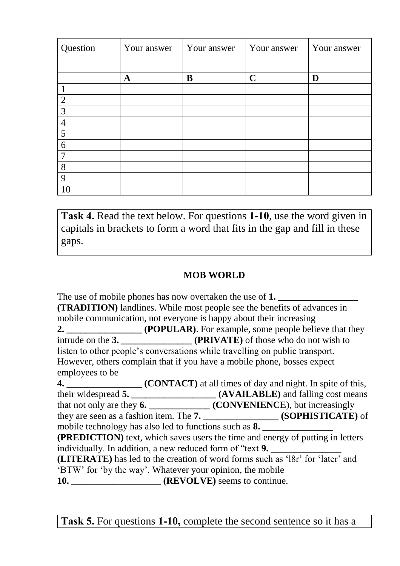| Question       | Your answer | Your answer | Your answer | Your answer |
|----------------|-------------|-------------|-------------|-------------|
|                |             |             |             |             |
|                | A           | B           | $\mathbf C$ | D           |
|                |             |             |             |             |
| $\overline{2}$ |             |             |             |             |
| 3              |             |             |             |             |
| $\overline{4}$ |             |             |             |             |
| 5              |             |             |             |             |
| 6              |             |             |             |             |
| $\mathcal{L}$  |             |             |             |             |
| 8              |             |             |             |             |
| 9              |             |             |             |             |
| 10             |             |             |             |             |

**Task 4.** Read the text below. For questions **1-10**, use the word given in capitals in brackets to form a word that fits in the gap and fill in these gaps.

### **MOB WORLD**

The use of mobile phones has now overtaken the use of 1. **(TRADITION)** landlines. While most people see the benefits of advances in mobile communication, not everyone is happy about their increasing **2. 2. (POPULAR)**. For example, some people believe that they intrude on the **3. \_\_\_\_\_\_\_\_\_\_\_\_\_\_\_ (PRIVATE)** of those who do not wish to listen to other people's conversations while travelling on public transport. However, others complain that if you have a mobile phone, bosses expect employees to be **4. \_\_\_\_\_\_\_\_\_\_\_\_\_\_\_\_ (CONTACT)** at all times of day and night. In spite of this, their widespread **5. \_\_\_\_\_\_\_\_\_\_\_\_\_\_\_\_\_\_ (AVAILABLE)** and falling cost means that not only are they **6. \_\_\_\_\_\_\_\_\_\_\_\_\_ (CONVENIENCE**), but increasingly they are seen as a fashion item. The **7. \_\_\_\_\_\_\_\_\_\_\_\_\_\_\_\_ (SOPHISTICATE)** of mobile technology has also led to functions such as **8. (PREDICTION)** text, which saves users the time and energy of putting in letters individually. In addition, a new reduced form of "text **9. (LITERATE)** has led to the creation of word forms such as 'l8r' for 'later' and 'BTW' for 'by the way'. Whatever your opinion, the mobile **10. \_\_\_\_\_\_\_\_\_\_\_\_\_\_\_\_\_\_\_ (REVOLVE)** seems to continue.

**Task 5.** For questions **1-10,** complete the second sentence so it has a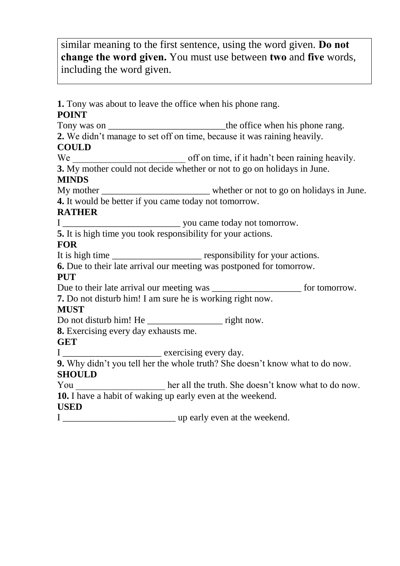similar meaning to the first sentence, using the word given. **Do not change the word given.** You must use between **two** and **five** words, including the word given.

**1.** Tony was about to leave the office when his phone rang. **POINT**  Tony was on \_\_\_\_\_\_\_\_\_\_\_\_\_\_\_\_\_\_\_\_\_\_\_\_\_the office when his phone rang. **2.** We didn't manage to set off on time, because it was raining heavily. **COULD**  $We  $\frac{1}{2}$  we  $\frac{1}{2}$  off on time, if it hadn't been raining heavily.$ **3.** My mother could not decide whether or not to go on holidays in June. **MINDS** My mother \_\_\_\_\_\_\_\_\_\_\_\_\_\_\_\_\_\_\_\_\_\_\_ whether or not to go on holidays in June. **4.** It would be better if you came today not tomorrow. **RATHER** I \_\_\_\_\_\_\_\_\_\_\_\_\_\_\_\_\_\_\_\_\_\_\_\_\_ you came today not tomorrow. **5.** It is high time you took responsibility for your actions. **FOR** It is high time \_\_\_\_\_\_\_\_\_\_\_\_\_\_\_\_\_\_\_\_\_\_ responsibility for your actions. **6.** Due to their late arrival our meeting was postponed for tomorrow. **PUT** Due to their late arrival our meeting was \_\_\_\_\_\_\_\_\_\_\_\_\_\_\_\_\_\_\_\_\_\_\_\_ for tomorrow. **7.** Do not disturb him! I am sure he is working right now. **MUST** Do not disturb him! He \_\_\_\_\_\_\_\_\_\_\_\_\_\_\_\_\_\_\_\_\_\_\_ right now. **8.** Exercising every day exhausts me. **GET** I \_\_\_\_\_\_\_\_\_\_\_\_\_\_\_\_\_\_\_\_\_ exercising every day. **9.** Why didn't you tell her the whole truth? She doesn't know what to do now. **SHOULD**  $\frac{1}{2}$  You her all the truth. She doesn't know what to do now. **10.** I have a habit of waking up early even at the weekend. **USED** I \_\_\_\_\_\_\_\_\_\_\_\_\_\_\_\_\_\_\_\_\_\_\_\_ up early even at the weekend.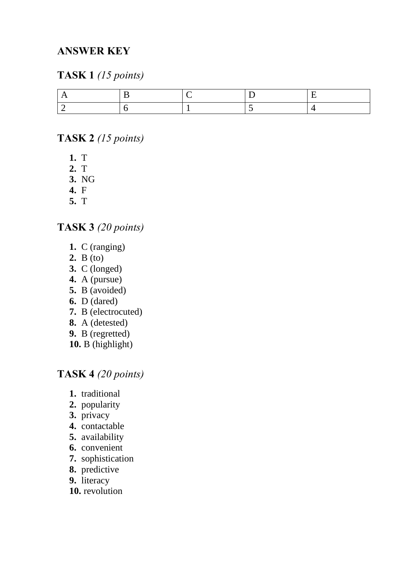# **ANSWER KEY**

## **TASK 1** *(15 points)*

### **TASK 2** *(15 points)*

- **1.** T
- **2.** T
- **3.** NG
- **4.** F
- **5.** T

### **TASK 3** *(20 points)*

- **1.** C (ranging)
- **2.** B (to)
- **3.** C (longed)
- **4.** A (pursue)
- **5.** B (avoided)
- **6.** D (dared)
- **7.** B (electrocuted)
- **8.** A (detested)
- **9.** B (regretted)
- **10.** B (highlight)

# **TASK 4** *(20 points)*

- **1.** traditional
- **2.** popularity
- **3.** privacy
- **4.** contactable
- **5.** availability
- **6.** convenient
- **7.** sophistication
- **8.** predictive
- **9.** literacy
- **10.** revolution